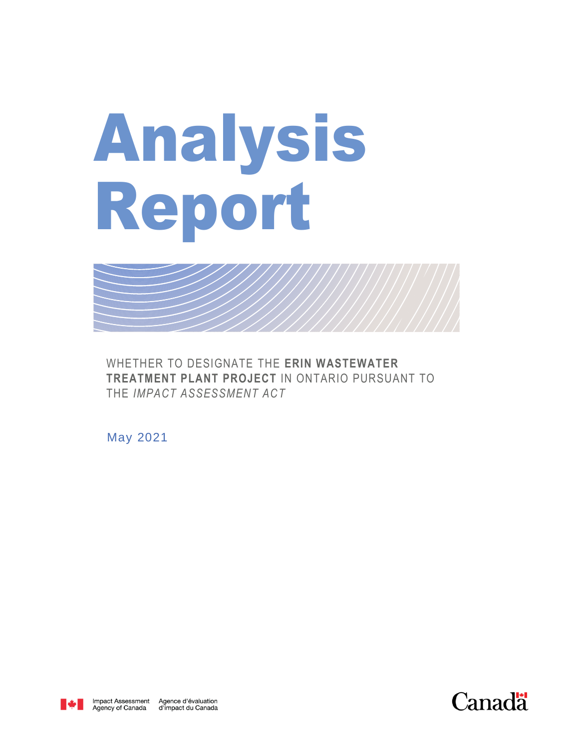# Analysis Report



WHETHER TO DESIGNATE THE **ERIN WASTEWATER TREATMENT PLANT PROJECT** IN ONTARIO PURSUANT TO THE *IMPACT ASSESSMENT ACT*

May 2021



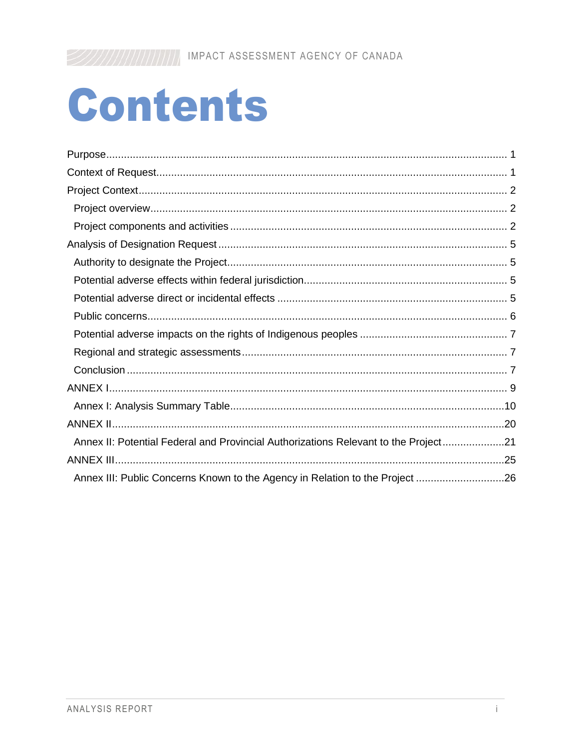# Contents

| Annex II: Potential Federal and Provincial Authorizations Relevant to the Project21 |  |
|-------------------------------------------------------------------------------------|--|
|                                                                                     |  |
| Annex III: Public Concerns Known to the Agency in Relation to the Project 26        |  |
|                                                                                     |  |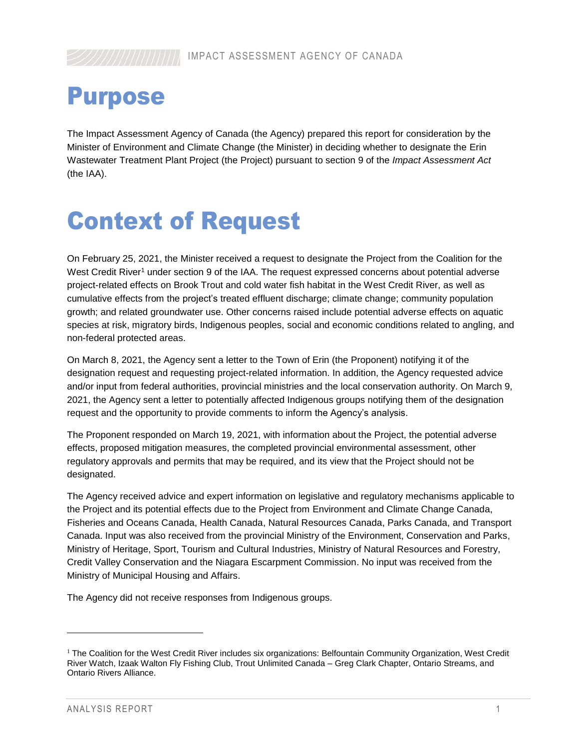### <span id="page-2-0"></span>Purpose

The Impact Assessment Agency of Canada (the Agency) prepared this report for consideration by the Minister of Environment and Climate Change (the Minister) in deciding whether to designate the Erin Wastewater Treatment Plant Project (the Project) pursuant to section 9 of the *Impact Assessment Act* (the IAA).

## <span id="page-2-1"></span>Context of Request

On February 25, 2021, the Minister received a request to designate the Project from the Coalition for the West Credit River<sup>1</sup> under section 9 of the IAA. The request expressed concerns about potential adverse project-related effects on Brook Trout and cold water fish habitat in the West Credit River, as well as cumulative effects from the project's treated effluent discharge; climate change; community population growth; and related groundwater use. Other concerns raised include potential adverse effects on aquatic species at risk, migratory birds, Indigenous peoples, social and economic conditions related to angling, and non-federal protected areas.

On March 8, 2021, the Agency sent a letter to the Town of Erin (the Proponent) notifying it of the designation request and requesting project-related information. In addition, the Agency requested advice and/or input from federal authorities, provincial ministries and the local conservation authority. On March 9, 2021, the Agency sent a letter to potentially affected Indigenous groups notifying them of the designation request and the opportunity to provide comments to inform the Agency's analysis.

The Proponent responded on March 19, 2021, with information about the Project, the potential adverse effects, proposed mitigation measures, the completed provincial environmental assessment, other regulatory approvals and permits that may be required, and its view that the Project should not be designated.

The Agency received advice and expert information on legislative and regulatory mechanisms applicable to the Project and its potential effects due to the Project from Environment and Climate Change Canada, Fisheries and Oceans Canada, Health Canada, Natural Resources Canada, Parks Canada, and Transport Canada. Input was also received from the provincial Ministry of the Environment, Conservation and Parks, Ministry of Heritage, Sport, Tourism and Cultural Industries, Ministry of Natural Resources and Forestry, Credit Valley Conservation and the Niagara Escarpment Commission. No input was received from the Ministry of Municipal Housing and Affairs.

The Agency did not receive responses from Indigenous groups.

<sup>&</sup>lt;sup>1</sup> The Coalition for the West Credit River includes six organizations: Belfountain Community Organization, West Credit River Watch, Izaak Walton Fly Fishing Club, Trout Unlimited Canada – Greg Clark Chapter, Ontario Streams, and Ontario Rivers Alliance.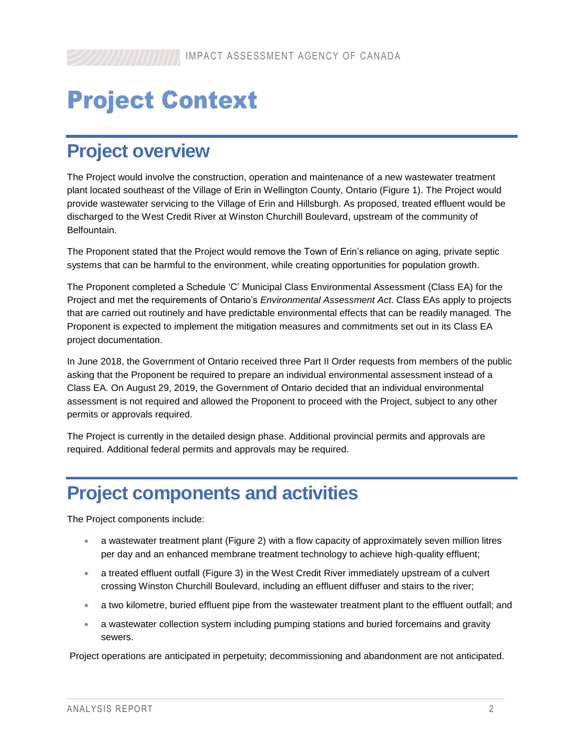# <span id="page-3-0"></span>Project Context

#### <span id="page-3-1"></span>**Project overview**

The Project would involve the construction, operation and maintenance of a new wastewater treatment plant located southeast of the Village of Erin in Wellington County, Ontario (Figure 1). The Project would provide wastewater servicing to the Village of Erin and Hillsburgh. As proposed, treated effluent would be discharged to the West Credit River at Winston Churchill Boulevard, upstream of the community of Belfountain.

The Proponent stated that the Project would remove the Town of Erin's reliance on aging, private septic systems that can be harmful to the environment, while creating opportunities for population growth.

The Proponent completed a Schedule 'C' Municipal Class Environmental Assessment (Class EA) for the Project and met the requirements of Ontario's *Environmental Assessment Act*. Class EAs apply to projects that are carried out routinely and have predictable environmental effects that can be readily managed. The Proponent is expected to implement the mitigation measures and commitments set out in its Class EA project documentation.

In June 2018, the Government of Ontario received three Part II Order requests from members of the public asking that the Proponent be required to prepare an individual environmental assessment instead of a Class EA. On August 29, 2019, the Government of Ontario decided that an individual environmental assessment is not required and allowed the Proponent to proceed with the Project, subject to any other permits or approvals required.

The Project is currently in the detailed design phase. Additional provincial permits and approvals are required. Additional federal permits and approvals may be required.

#### <span id="page-3-2"></span>**Project components and activities**

The Project components include:

- a wastewater treatment plant (Figure 2) with a flow capacity of approximately seven million litres per day and an enhanced membrane treatment technology to achieve high-quality effluent;
- a treated effluent outfall (Figure 3) in the West Credit River immediately upstream of a culvert crossing Winston Churchill Boulevard, including an effluent diffuser and stairs to the river;
- a two kilometre, buried effluent pipe from the wastewater treatment plant to the effluent outfall; and
- a wastewater collection system including pumping stations and buried forcemains and gravity sewers.

Project operations are anticipated in perpetuity; decommissioning and abandonment are not anticipated.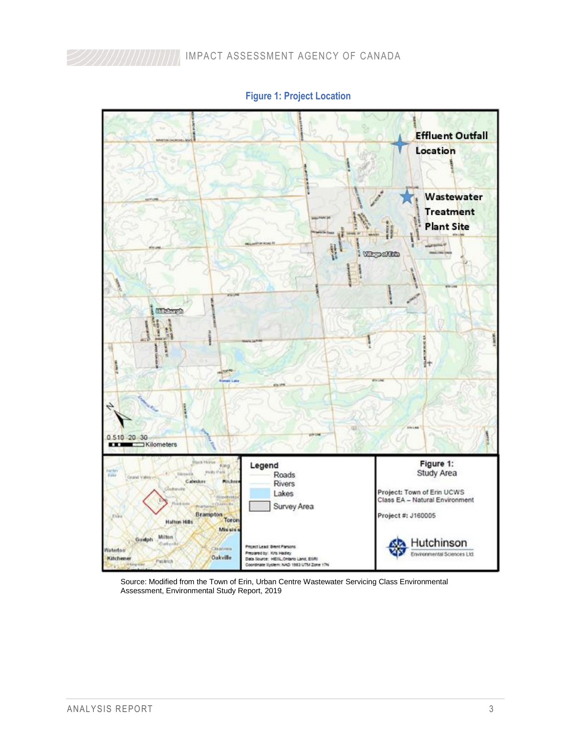

#### **Figure 1: Project Location**

Source: Modified from the Town of Erin, Urban Centre Wastewater Servicing Class Environmental Assessment, Environmental Study Report, 2019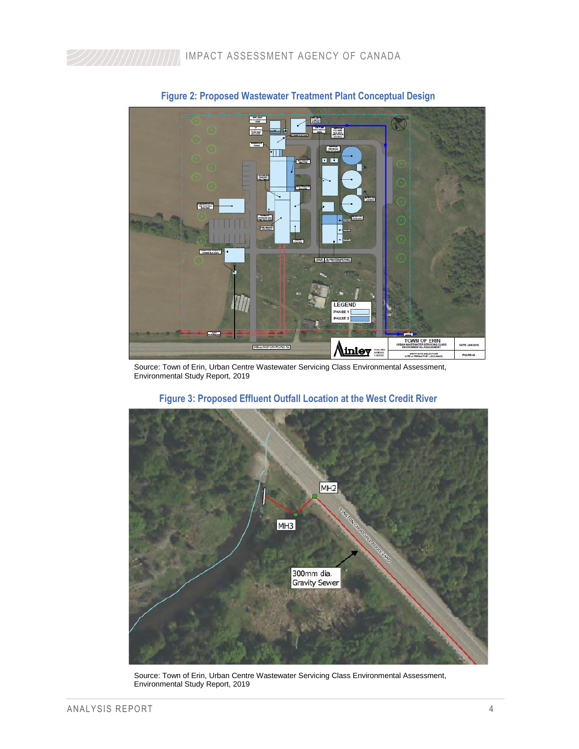

**Figure 2: Proposed Wastewater Treatment Plant Conceptual Design**

Source: Town of Erin, Urban Centre Wastewater Servicing Class Environmental Assessment, Environmental Study Report, 2019



#### **Figure 3: Proposed Effluent Outfall Location at the West Credit River**

Source: Town of Erin, Urban Centre Wastewater Servicing Class Environmental Assessment, Environmental Study Report, 2019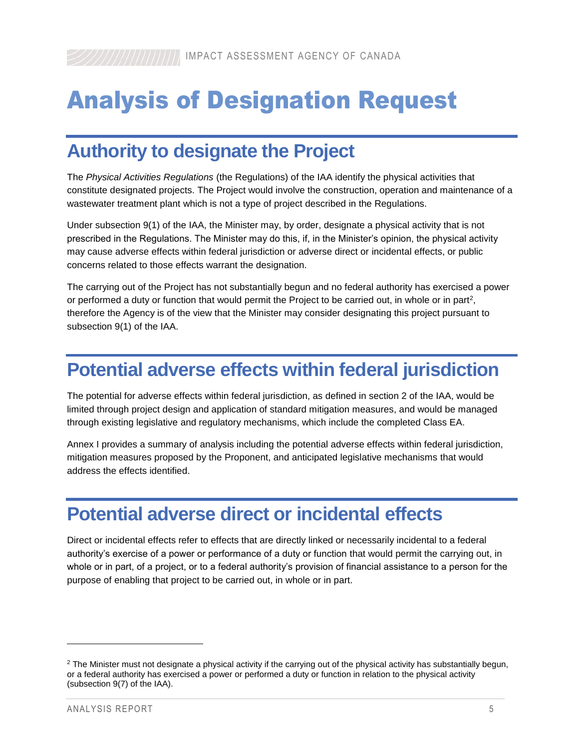# <span id="page-6-0"></span>Analysis of Designation Request

#### <span id="page-6-1"></span>**Authority to designate the Project**

The *Physical Activities Regulations* (the Regulations) of the IAA identify the physical activities that constitute designated projects. The Project would involve the construction, operation and maintenance of a wastewater treatment plant which is not a type of project described in the Regulations.

Under subsection 9(1) of the IAA, the Minister may, by order, designate a physical activity that is not prescribed in the Regulations. The Minister may do this, if, in the Minister's opinion, the physical activity may cause adverse effects within federal jurisdiction or adverse direct or incidental effects, or public concerns related to those effects warrant the designation.

The carrying out of the Project has not substantially begun and no federal authority has exercised a power or performed a duty or function that would permit the Project to be carried out, in whole or in part<sup>2</sup>, therefore the Agency is of the view that the Minister may consider designating this project pursuant to subsection 9(1) of the IAA.

#### <span id="page-6-2"></span>**Potential adverse effects within federal jurisdiction**

The potential for adverse effects within federal jurisdiction, as defined in section 2 of the IAA, would be limited through project design and application of standard mitigation measures, and would be managed through existing legislative and regulatory mechanisms, which include the completed Class EA.

Annex I provides a summary of analysis including the potential adverse effects within federal jurisdiction, mitigation measures proposed by the Proponent, and anticipated legislative mechanisms that would address the effects identified.

#### <span id="page-6-3"></span>**Potential adverse direct or incidental effects**

Direct or incidental effects refer to effects that are directly linked or necessarily incidental to a federal authority's exercise of a power or performance of a duty or function that would permit the carrying out, in whole or in part, of a project, or to a federal authority's provision of financial assistance to a person for the purpose of enabling that project to be carried out, in whole or in part.

<sup>&</sup>lt;sup>2</sup> The Minister must not designate a physical activity if the carrying out of the physical activity has substantially begun, or a federal authority has exercised a power or performed a duty or function in relation to the physical activity (subsection 9(7) of the IAA).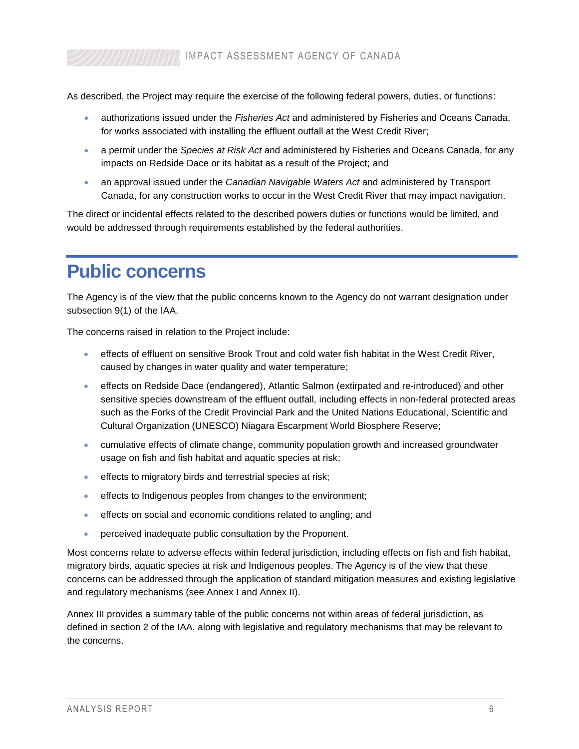As described, the Project may require the exercise of the following federal powers, duties, or functions:

- authorizations issued under the *Fisheries Act* and administered by Fisheries and Oceans Canada, for works associated with installing the effluent outfall at the West Credit River;
- a permit under the *Species at Risk Act* and administered by Fisheries and Oceans Canada, for any impacts on Redside Dace or its habitat as a result of the Project; and
- an approval issued under the *Canadian Navigable Waters Act* and administered by Transport Canada, for any construction works to occur in the West Credit River that may impact navigation.

<span id="page-7-0"></span>The direct or incidental effects related to the described powers duties or functions would be limited, and would be addressed through requirements established by the federal authorities.

#### **Public concerns**

The Agency is of the view that the public concerns known to the Agency do not warrant designation under subsection 9(1) of the IAA.

The concerns raised in relation to the Project include:

- effects of effluent on sensitive Brook Trout and cold water fish habitat in the West Credit River, caused by changes in water quality and water temperature;
- effects on Redside Dace (endangered), Atlantic Salmon (extirpated and re-introduced) and other sensitive species downstream of the effluent outfall, including effects in non-federal protected areas such as the Forks of the Credit Provincial Park and the United Nations Educational, Scientific and Cultural Organization (UNESCO) Niagara Escarpment World Biosphere Reserve;
- cumulative effects of climate change, community population growth and increased groundwater usage on fish and fish habitat and aquatic species at risk;
- **effects to migratory birds and terrestrial species at risk;**
- effects to Indigenous peoples from changes to the environment;
- effects on social and economic conditions related to angling; and
- perceived inadequate public consultation by the Proponent.

Most concerns relate to adverse effects within federal jurisdiction, including effects on fish and fish habitat, migratory birds, aquatic species at risk and Indigenous peoples. The Agency is of the view that these concerns can be addressed through the application of standard mitigation measures and existing legislative and regulatory mechanisms (see Annex I and Annex II).

Annex III provides a summary table of the public concerns not within areas of federal jurisdiction, as defined in section 2 of the IAA, along with legislative and regulatory mechanisms that may be relevant to the concerns.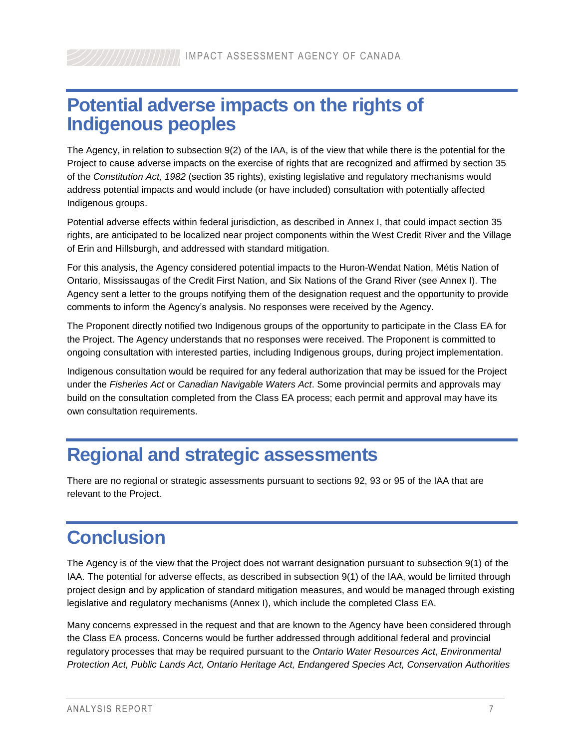#### <span id="page-8-0"></span>**Potential adverse impacts on the rights of Indigenous peoples**

The Agency, in relation to subsection 9(2) of the IAA, is of the view that while there is the potential for the Project to cause adverse impacts on the exercise of rights that are recognized and affirmed by section 35 of the *Constitution Act, 1982* (section 35 rights), existing legislative and regulatory mechanisms would address potential impacts and would include (or have included) consultation with potentially affected Indigenous groups.

Potential adverse effects within federal jurisdiction, as described in Annex I, that could impact section 35 rights, are anticipated to be localized near project components within the West Credit River and the Village of Erin and Hillsburgh, and addressed with standard mitigation.

For this analysis, the Agency considered potential impacts to the Huron-Wendat Nation, Métis Nation of Ontario, Mississaugas of the Credit First Nation, and Six Nations of the Grand River (see Annex I). The Agency sent a letter to the groups notifying them of the designation request and the opportunity to provide comments to inform the Agency's analysis. No responses were received by the Agency.

The Proponent directly notified two Indigenous groups of the opportunity to participate in the Class EA for the Project. The Agency understands that no responses were received. The Proponent is committed to ongoing consultation with interested parties, including Indigenous groups, during project implementation.

Indigenous consultation would be required for any federal authorization that may be issued for the Project under the *Fisheries Act* or *Canadian Navigable Waters Act*. Some provincial permits and approvals may build on the consultation completed from the Class EA process; each permit and approval may have its own consultation requirements.

#### <span id="page-8-1"></span>**Regional and strategic assessments**

<span id="page-8-2"></span>There are no regional or strategic assessments pursuant to sections 92, 93 or 95 of the IAA that are relevant to the Project.

#### **Conclusion**

The Agency is of the view that the Project does not warrant designation pursuant to subsection 9(1) of the IAA. The potential for adverse effects, as described in subsection 9(1) of the IAA, would be limited through project design and by application of standard mitigation measures, and would be managed through existing legislative and regulatory mechanisms (Annex I), which include the completed Class EA.

Many concerns expressed in the request and that are known to the Agency have been considered through the Class EA process. Concerns would be further addressed through additional federal and provincial regulatory processes that may be required pursuant to the *Ontario Water Resources Act*, *Environmental Protection Act, Public Lands Act, Ontario Heritage Act, Endangered Species Act, Conservation Authorities*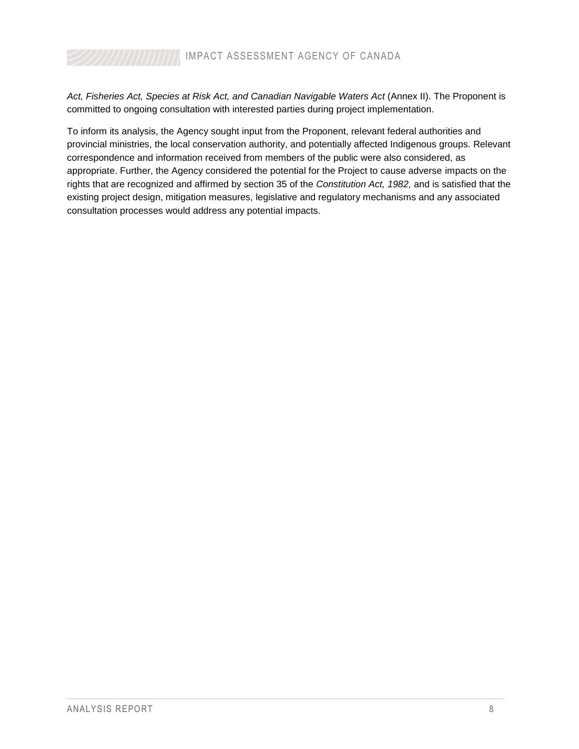

*Act, Fisheries Act, Species at Risk Act, and Canadian Navigable Waters Act* (Annex II). The Proponent is committed to ongoing consultation with interested parties during project implementation.

To inform its analysis, the Agency sought input from the Proponent, relevant federal authorities and provincial ministries, the local conservation authority, and potentially affected Indigenous groups. Relevant correspondence and information received from members of the public were also considered, as appropriate. Further, the Agency considered the potential for the Project to cause adverse impacts on the rights that are recognized and affirmed by section 35 of the *Constitution Act, 1982,* and is satisfied that the existing project design, mitigation measures, legislative and regulatory mechanisms and any associated consultation processes would address any potential impacts.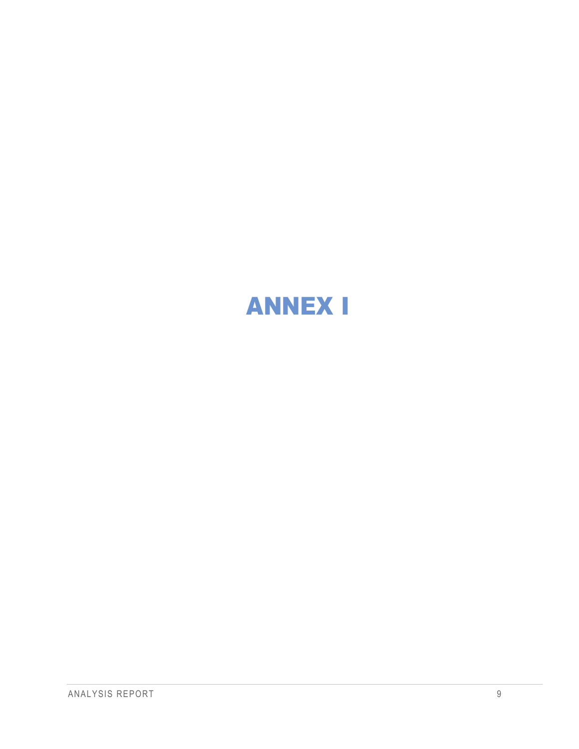<span id="page-10-0"></span>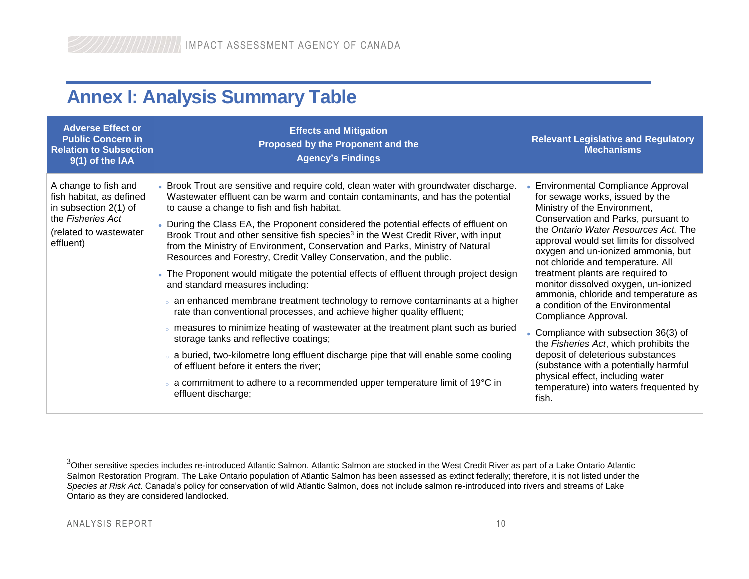#### **Annex I: Analysis Summary Table**

<span id="page-11-0"></span>

| <b>Adverse Effect or</b><br><b>Public Concern in</b><br><b>Relation to Subsection</b><br>9(1) of the IAA                              | <b>Effects and Mitigation</b><br>Proposed by the Proponent and the<br><b>Agency's Findings</b>                                                                                                                                                                                                                                                                                                                                                                                                                                                                                                                                                                                                                                                                                                                                                                                                                                                                                                                                                                                                                                                                                                                                         | <b>Relevant Legislative and Regulatory</b><br><b>Mechanisms</b>                                                                                                                                                                                                                                                                                                                                                                                                                                                                                                                                                                                                                                                                                     |
|---------------------------------------------------------------------------------------------------------------------------------------|----------------------------------------------------------------------------------------------------------------------------------------------------------------------------------------------------------------------------------------------------------------------------------------------------------------------------------------------------------------------------------------------------------------------------------------------------------------------------------------------------------------------------------------------------------------------------------------------------------------------------------------------------------------------------------------------------------------------------------------------------------------------------------------------------------------------------------------------------------------------------------------------------------------------------------------------------------------------------------------------------------------------------------------------------------------------------------------------------------------------------------------------------------------------------------------------------------------------------------------|-----------------------------------------------------------------------------------------------------------------------------------------------------------------------------------------------------------------------------------------------------------------------------------------------------------------------------------------------------------------------------------------------------------------------------------------------------------------------------------------------------------------------------------------------------------------------------------------------------------------------------------------------------------------------------------------------------------------------------------------------------|
| A change to fish and<br>fish habitat, as defined<br>in subsection 2(1) of<br>the Fisheries Act<br>(related to wastewater<br>effluent) | • Brook Trout are sensitive and require cold, clean water with groundwater discharge.<br>Wastewater effluent can be warm and contain contaminants, and has the potential<br>to cause a change to fish and fish habitat.<br>• During the Class EA, the Proponent considered the potential effects of effluent on<br>Brook Trout and other sensitive fish species <sup>3</sup> in the West Credit River, with input<br>from the Ministry of Environment, Conservation and Parks, Ministry of Natural<br>Resources and Forestry, Credit Valley Conservation, and the public.<br>• The Proponent would mitigate the potential effects of effluent through project design<br>and standard measures including:<br>an enhanced membrane treatment technology to remove contaminants at a higher<br>rate than conventional processes, and achieve higher quality effluent;<br>measures to minimize heating of wastewater at the treatment plant such as buried<br>storage tanks and reflective coatings;<br>a buried, two-kilometre long effluent discharge pipe that will enable some cooling<br>of effluent before it enters the river;<br>a commitment to adhere to a recommended upper temperature limit of 19°C in<br>effluent discharge; | • Environmental Compliance Approval<br>for sewage works, issued by the<br>Ministry of the Environment,<br>Conservation and Parks, pursuant to<br>the Ontario Water Resources Act. The<br>approval would set limits for dissolved<br>oxygen and un-ionized ammonia, but<br>not chloride and temperature. All<br>treatment plants are required to<br>monitor dissolved oxygen, un-ionized<br>ammonia, chloride and temperature as<br>a condition of the Environmental<br>Compliance Approval.<br>• Compliance with subsection 36(3) of<br>the Fisheries Act, which prohibits the<br>deposit of deleterious substances<br>(substance with a potentially harmful<br>physical effect, including water<br>temperature) into waters frequented by<br>fish. |

 $3$ Other sensitive species includes re-introduced Atlantic Salmon. Atlantic Salmon are stocked in the West Credit River as part of a Lake Ontario Atlantic Salmon Restoration Program. The Lake Ontario population of Atlantic Salmon has been assessed as extinct federally; therefore, it is not listed under the *Species at Risk Act*. Canada's policy for conservation of wild Atlantic Salmon, does not include salmon re-introduced into rivers and streams of Lake Ontario as they are considered landlocked.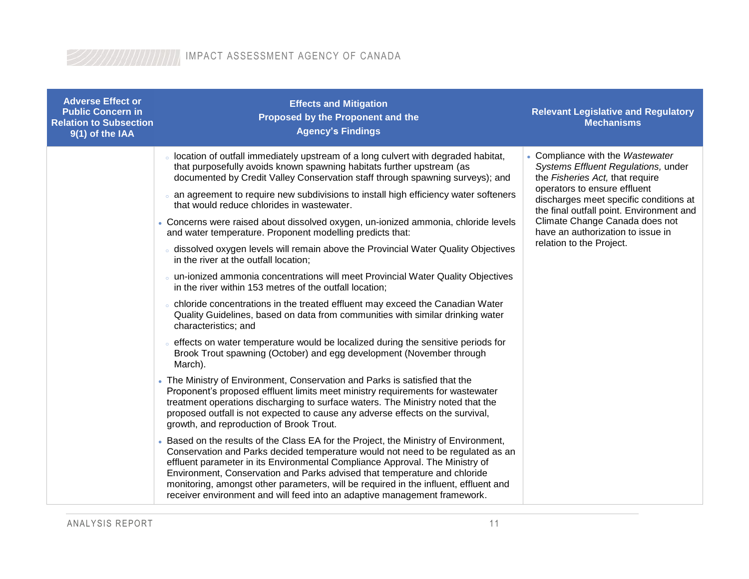

| <b>Adverse Effect or</b><br><b>Public Concern in</b><br><b>Relation to Subsection</b><br>9(1) of the IAA | <b>Effects and Mitigation</b><br>Proposed by the Proponent and the<br><b>Agency's Findings</b>                                                                                                                                                                                                                                                                                                                                                                                                            | <b>Relevant Legislative and Regulatory</b><br><b>Mechanisms</b>                                                                                                                                                                  |
|----------------------------------------------------------------------------------------------------------|-----------------------------------------------------------------------------------------------------------------------------------------------------------------------------------------------------------------------------------------------------------------------------------------------------------------------------------------------------------------------------------------------------------------------------------------------------------------------------------------------------------|----------------------------------------------------------------------------------------------------------------------------------------------------------------------------------------------------------------------------------|
|                                                                                                          | o location of outfall immediately upstream of a long culvert with degraded habitat,<br>that purposefully avoids known spawning habitats further upstream (as<br>documented by Credit Valley Conservation staff through spawning surveys); and                                                                                                                                                                                                                                                             | • Compliance with the Wastewater<br>Systems Effluent Regulations, under<br>the Fisheries Act, that require<br>operators to ensure effluent<br>discharges meet specific conditions at<br>the final outfall point. Environment and |
|                                                                                                          | ○ an agreement to require new subdivisions to install high efficiency water softeners<br>that would reduce chlorides in wastewater.                                                                                                                                                                                                                                                                                                                                                                       |                                                                                                                                                                                                                                  |
|                                                                                                          | • Concerns were raised about dissolved oxygen, un-ionized ammonia, chloride levels<br>and water temperature. Proponent modelling predicts that:                                                                                                                                                                                                                                                                                                                                                           | Climate Change Canada does not<br>have an authorization to issue in                                                                                                                                                              |
|                                                                                                          | o dissolved oxygen levels will remain above the Provincial Water Quality Objectives<br>in the river at the outfall location;                                                                                                                                                                                                                                                                                                                                                                              | relation to the Project.                                                                                                                                                                                                         |
|                                                                                                          | ∘ un-ionized ammonia concentrations will meet Provincial Water Quality Objectives<br>in the river within 153 metres of the outfall location;                                                                                                                                                                                                                                                                                                                                                              |                                                                                                                                                                                                                                  |
|                                                                                                          | chloride concentrations in the treated effluent may exceed the Canadian Water<br>Quality Guidelines, based on data from communities with similar drinking water<br>characteristics; and                                                                                                                                                                                                                                                                                                                   |                                                                                                                                                                                                                                  |
|                                                                                                          | effects on water temperature would be localized during the sensitive periods for<br>Brook Trout spawning (October) and egg development (November through<br>March).                                                                                                                                                                                                                                                                                                                                       |                                                                                                                                                                                                                                  |
|                                                                                                          | • The Ministry of Environment, Conservation and Parks is satisfied that the<br>Proponent's proposed effluent limits meet ministry requirements for wastewater<br>treatment operations discharging to surface waters. The Ministry noted that the<br>proposed outfall is not expected to cause any adverse effects on the survival,<br>growth, and reproduction of Brook Trout.                                                                                                                            |                                                                                                                                                                                                                                  |
|                                                                                                          | • Based on the results of the Class EA for the Project, the Ministry of Environment,<br>Conservation and Parks decided temperature would not need to be regulated as an<br>effluent parameter in its Environmental Compliance Approval. The Ministry of<br>Environment, Conservation and Parks advised that temperature and chloride<br>monitoring, amongst other parameters, will be required in the influent, effluent and<br>receiver environment and will feed into an adaptive management framework. |                                                                                                                                                                                                                                  |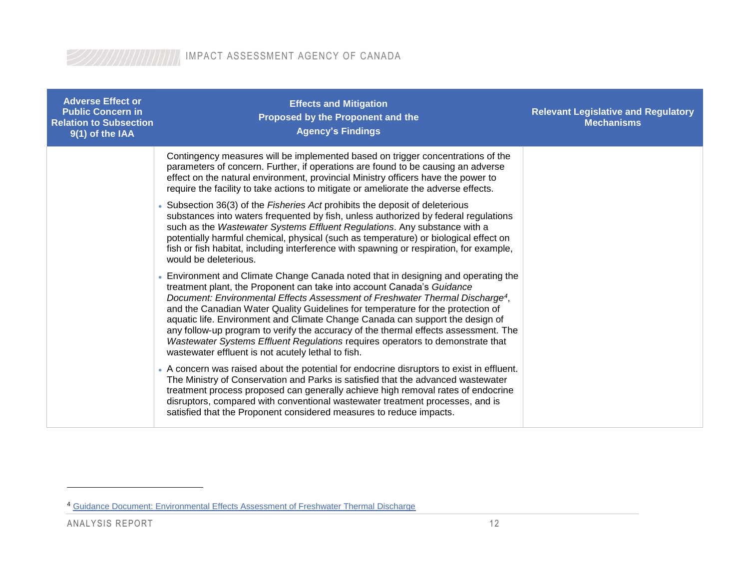

| <b>Adverse Effect or</b><br><b>Public Concern in</b><br><b>Relation to Subsection</b><br>9(1) of the IAA | <b>Effects and Mitigation</b><br>Proposed by the Proponent and the<br><b>Agency's Findings</b>                                                                                                                                                                                                                                                                                                                                                                                                                                                                                                                                                              | <b>Relevant Legislative and Regulatory</b><br><b>Mechanisms</b> |
|----------------------------------------------------------------------------------------------------------|-------------------------------------------------------------------------------------------------------------------------------------------------------------------------------------------------------------------------------------------------------------------------------------------------------------------------------------------------------------------------------------------------------------------------------------------------------------------------------------------------------------------------------------------------------------------------------------------------------------------------------------------------------------|-----------------------------------------------------------------|
|                                                                                                          | Contingency measures will be implemented based on trigger concentrations of the<br>parameters of concern. Further, if operations are found to be causing an adverse<br>effect on the natural environment, provincial Ministry officers have the power to<br>require the facility to take actions to mitigate or ameliorate the adverse effects.                                                                                                                                                                                                                                                                                                             |                                                                 |
|                                                                                                          | • Subsection 36(3) of the Fisheries Act prohibits the deposit of deleterious<br>substances into waters frequented by fish, unless authorized by federal regulations<br>such as the Wastewater Systems Effluent Regulations. Any substance with a<br>potentially harmful chemical, physical (such as temperature) or biological effect on<br>fish or fish habitat, including interference with spawning or respiration, for example,<br>would be deleterious.                                                                                                                                                                                                |                                                                 |
|                                                                                                          | • Environment and Climate Change Canada noted that in designing and operating the<br>treatment plant, the Proponent can take into account Canada's Guidance<br>Document: Environmental Effects Assessment of Freshwater Thermal Discharge <sup>4</sup> ,<br>and the Canadian Water Quality Guidelines for temperature for the protection of<br>aquatic life. Environment and Climate Change Canada can support the design of<br>any follow-up program to verify the accuracy of the thermal effects assessment. The<br>Wastewater Systems Effluent Regulations requires operators to demonstrate that<br>wastewater effluent is not acutely lethal to fish. |                                                                 |
|                                                                                                          | . A concern was raised about the potential for endocrine disruptors to exist in effluent.<br>The Ministry of Conservation and Parks is satisfied that the advanced wastewater<br>treatment process proposed can generally achieve high removal rates of endocrine<br>disruptors, compared with conventional wastewater treatment processes, and is<br>satisfied that the Proponent considered measures to reduce impacts.                                                                                                                                                                                                                                   |                                                                 |

<sup>4</sup> [Guidance Document: Environmental Effects Assessment of Freshwater Thermal Discharge](http://publications.gc.ca/site/eng/9.867894/publication.html)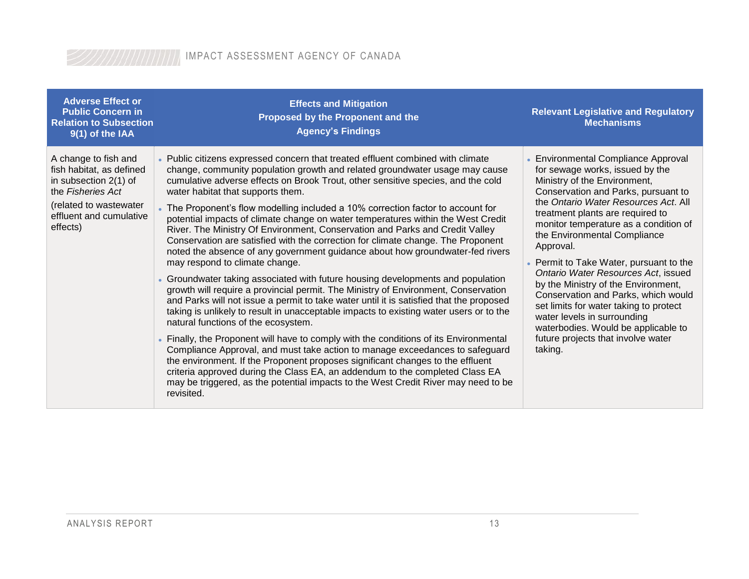

| <b>Adverse Effect or</b><br><b>Public Concern in</b><br><b>Relation to Subsection</b><br>9(1) of the IAA                                                          | <b>Effects and Mitigation</b><br>Proposed by the Proponent and the<br><b>Agency's Findings</b>                                                                                                                                                                                                                                                                                                                                                                                                                                                                                                                                                                                                                                                                                                                                                                                                                                                                                                                                                                                                                                                                                                                                                                                                                                                                                                                                                                                                                                                                                                             | <b>Relevant Legislative and Regulatory</b><br><b>Mechanisms</b>                                                                                                                                                                                                                                                                                                                                                                                                                                                                                                                                                                                  |
|-------------------------------------------------------------------------------------------------------------------------------------------------------------------|------------------------------------------------------------------------------------------------------------------------------------------------------------------------------------------------------------------------------------------------------------------------------------------------------------------------------------------------------------------------------------------------------------------------------------------------------------------------------------------------------------------------------------------------------------------------------------------------------------------------------------------------------------------------------------------------------------------------------------------------------------------------------------------------------------------------------------------------------------------------------------------------------------------------------------------------------------------------------------------------------------------------------------------------------------------------------------------------------------------------------------------------------------------------------------------------------------------------------------------------------------------------------------------------------------------------------------------------------------------------------------------------------------------------------------------------------------------------------------------------------------------------------------------------------------------------------------------------------------|--------------------------------------------------------------------------------------------------------------------------------------------------------------------------------------------------------------------------------------------------------------------------------------------------------------------------------------------------------------------------------------------------------------------------------------------------------------------------------------------------------------------------------------------------------------------------------------------------------------------------------------------------|
| A change to fish and<br>fish habitat, as defined<br>in subsection $2(1)$ of<br>the Fisheries Act<br>(related to wastewater<br>effluent and cumulative<br>effects) | • Public citizens expressed concern that treated effluent combined with climate<br>change, community population growth and related groundwater usage may cause<br>cumulative adverse effects on Brook Trout, other sensitive species, and the cold<br>water habitat that supports them.<br>• The Proponent's flow modelling included a 10% correction factor to account for<br>potential impacts of climate change on water temperatures within the West Credit<br>River. The Ministry Of Environment, Conservation and Parks and Credit Valley<br>Conservation are satisfied with the correction for climate change. The Proponent<br>noted the absence of any government guidance about how groundwater-fed rivers<br>may respond to climate change.<br>• Groundwater taking associated with future housing developments and population<br>growth will require a provincial permit. The Ministry of Environment, Conservation<br>and Parks will not issue a permit to take water until it is satisfied that the proposed<br>taking is unlikely to result in unacceptable impacts to existing water users or to the<br>natural functions of the ecosystem.<br>• Finally, the Proponent will have to comply with the conditions of its Environmental<br>Compliance Approval, and must take action to manage exceedances to safeguard<br>the environment. If the Proponent proposes significant changes to the effluent<br>criteria approved during the Class EA, an addendum to the completed Class EA<br>may be triggered, as the potential impacts to the West Credit River may need to be<br>revisited. | • Environmental Compliance Approval<br>for sewage works, issued by the<br>Ministry of the Environment,<br>Conservation and Parks, pursuant to<br>the Ontario Water Resources Act. All<br>treatment plants are required to<br>monitor temperature as a condition of<br>the Environmental Compliance<br>Approval.<br>• Permit to Take Water, pursuant to the<br>Ontario Water Resources Act, issued<br>by the Ministry of the Environment,<br>Conservation and Parks, which would<br>set limits for water taking to protect<br>water levels in surrounding<br>waterbodies. Would be applicable to<br>future projects that involve water<br>taking. |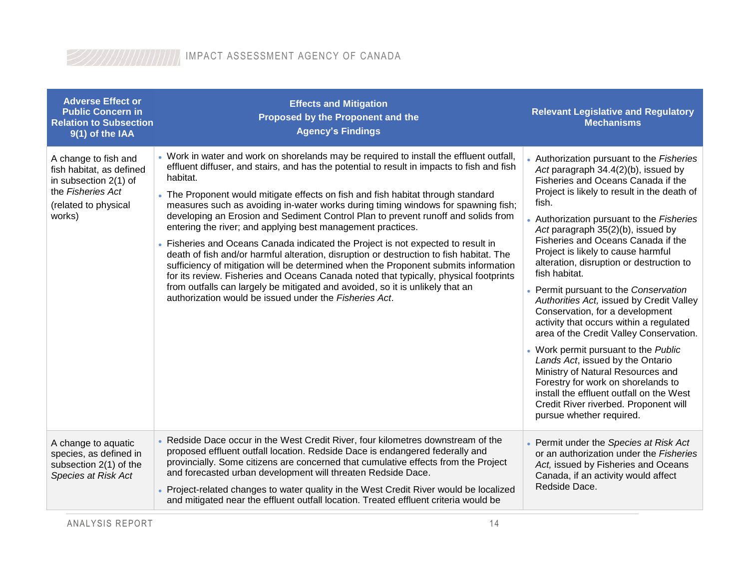

| <b>Adverse Effect or</b><br><b>Public Concern in</b><br><b>Relation to Subsection</b><br>9(1) of the IAA                         | <b>Effects and Mitigation</b><br>Proposed by the Proponent and the<br><b>Agency's Findings</b>                                                                                                                                                                                                                                                                                                                                                                                                                                                                                                                                                                                                                                                                                                                                                                                                                                                                                                                                           | <b>Relevant Legislative and Regulatory</b><br><b>Mechanisms</b>                                                                                                                                                                                                                                                                                                                                                                                                                                                                                                                                                                                                                                                                                                                                                                                                                                 |
|----------------------------------------------------------------------------------------------------------------------------------|------------------------------------------------------------------------------------------------------------------------------------------------------------------------------------------------------------------------------------------------------------------------------------------------------------------------------------------------------------------------------------------------------------------------------------------------------------------------------------------------------------------------------------------------------------------------------------------------------------------------------------------------------------------------------------------------------------------------------------------------------------------------------------------------------------------------------------------------------------------------------------------------------------------------------------------------------------------------------------------------------------------------------------------|-------------------------------------------------------------------------------------------------------------------------------------------------------------------------------------------------------------------------------------------------------------------------------------------------------------------------------------------------------------------------------------------------------------------------------------------------------------------------------------------------------------------------------------------------------------------------------------------------------------------------------------------------------------------------------------------------------------------------------------------------------------------------------------------------------------------------------------------------------------------------------------------------|
| A change to fish and<br>fish habitat, as defined<br>in subsection 2(1) of<br>the Fisheries Act<br>(related to physical<br>works) | . Work in water and work on shorelands may be required to install the effluent outfall,<br>effluent diffuser, and stairs, and has the potential to result in impacts to fish and fish<br>habitat.<br>• The Proponent would mitigate effects on fish and fish habitat through standard<br>measures such as avoiding in-water works during timing windows for spawning fish;<br>developing an Erosion and Sediment Control Plan to prevent runoff and solids from<br>entering the river; and applying best management practices.<br>• Fisheries and Oceans Canada indicated the Project is not expected to result in<br>death of fish and/or harmful alteration, disruption or destruction to fish habitat. The<br>sufficiency of mitigation will be determined when the Proponent submits information<br>for its review. Fisheries and Oceans Canada noted that typically, physical footprints<br>from outfalls can largely be mitigated and avoided, so it is unlikely that an<br>authorization would be issued under the Fisheries Act. | • Authorization pursuant to the Fisheries<br>Act paragraph 34.4(2)(b), issued by<br>Fisheries and Oceans Canada if the<br>Project is likely to result in the death of<br>fish.<br>• Authorization pursuant to the Fisheries<br>Act paragraph 35(2)(b), issued by<br>Fisheries and Oceans Canada if the<br>Project is likely to cause harmful<br>alteration, disruption or destruction to<br>fish habitat.<br>• Permit pursuant to the Conservation<br>Authorities Act, issued by Credit Valley<br>Conservation, for a development<br>activity that occurs within a regulated<br>area of the Credit Valley Conservation.<br>• Work permit pursuant to the Public<br>Lands Act, issued by the Ontario<br>Ministry of Natural Resources and<br>Forestry for work on shorelands to<br>install the effluent outfall on the West<br>Credit River riverbed. Proponent will<br>pursue whether required. |
| A change to aquatic<br>species, as defined in<br>subsection 2(1) of the<br><b>Species at Risk Act</b>                            | • Redside Dace occur in the West Credit River, four kilometres downstream of the<br>proposed effluent outfall location. Redside Dace is endangered federally and<br>provincially. Some citizens are concerned that cumulative effects from the Project<br>and forecasted urban development will threaten Redside Dace.<br>• Project-related changes to water quality in the West Credit River would be localized<br>and mitigated near the effluent outfall location. Treated effluent criteria would be                                                                                                                                                                                                                                                                                                                                                                                                                                                                                                                                 | • Permit under the Species at Risk Act<br>or an authorization under the Fisheries<br>Act, issued by Fisheries and Oceans<br>Canada, if an activity would affect<br>Redside Dace.                                                                                                                                                                                                                                                                                                                                                                                                                                                                                                                                                                                                                                                                                                                |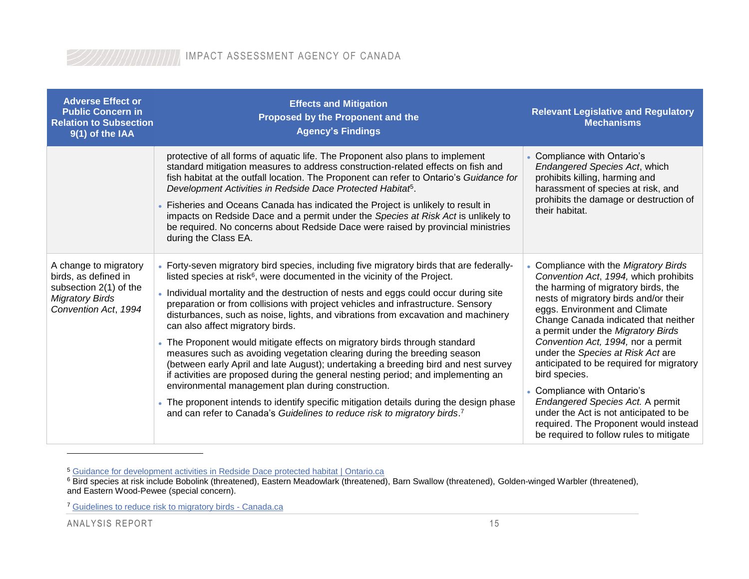

| <b>Adverse Effect or</b><br><b>Public Concern in</b><br><b>Relation to Subsection</b><br>9(1) of the IAA                  | <b>Effects and Mitigation</b><br>Proposed by the Proponent and the<br><b>Agency's Findings</b>                                                                                                                                                                                                                                                                                                                                                                                                                                                                                                                                                                                                                                                                                                                                                                                                                                                                                                                                                                       | <b>Relevant Legislative and Regulatory</b><br><b>Mechanisms</b>                                                                                                                                                                                                                                                                                                                                                                                                                                                                                                                                                        |
|---------------------------------------------------------------------------------------------------------------------------|----------------------------------------------------------------------------------------------------------------------------------------------------------------------------------------------------------------------------------------------------------------------------------------------------------------------------------------------------------------------------------------------------------------------------------------------------------------------------------------------------------------------------------------------------------------------------------------------------------------------------------------------------------------------------------------------------------------------------------------------------------------------------------------------------------------------------------------------------------------------------------------------------------------------------------------------------------------------------------------------------------------------------------------------------------------------|------------------------------------------------------------------------------------------------------------------------------------------------------------------------------------------------------------------------------------------------------------------------------------------------------------------------------------------------------------------------------------------------------------------------------------------------------------------------------------------------------------------------------------------------------------------------------------------------------------------------|
|                                                                                                                           | protective of all forms of aquatic life. The Proponent also plans to implement<br>standard mitigation measures to address construction-related effects on fish and<br>fish habitat at the outfall location. The Proponent can refer to Ontario's Guidance for<br>Development Activities in Redside Dace Protected Habitat <sup>5</sup> .<br>• Fisheries and Oceans Canada has indicated the Project is unlikely to result in<br>impacts on Redside Dace and a permit under the Species at Risk Act is unlikely to<br>be required. No concerns about Redside Dace were raised by provincial ministries<br>during the Class EA.                                                                                                                                                                                                                                                                                                                                                                                                                                        | • Compliance with Ontario's<br>Endangered Species Act, which<br>prohibits killing, harming and<br>harassment of species at risk, and<br>prohibits the damage or destruction of<br>their habitat.                                                                                                                                                                                                                                                                                                                                                                                                                       |
| A change to migratory<br>birds, as defined in<br>subsection 2(1) of the<br><b>Migratory Birds</b><br>Convention Act, 1994 | • Forty-seven migratory bird species, including five migratory birds that are federally-<br>listed species at risk <sup>6</sup> , were documented in the vicinity of the Project.<br>. Individual mortality and the destruction of nests and eggs could occur during site<br>preparation or from collisions with project vehicles and infrastructure. Sensory<br>disturbances, such as noise, lights, and vibrations from excavation and machinery<br>can also affect migratory birds.<br>• The Proponent would mitigate effects on migratory birds through standard<br>measures such as avoiding vegetation clearing during the breeding season<br>(between early April and late August); undertaking a breeding bird and nest survey<br>if activities are proposed during the general nesting period; and implementing an<br>environmental management plan during construction.<br>• The proponent intends to identify specific mitigation details during the design phase<br>and can refer to Canada's Guidelines to reduce risk to migratory birds. <sup>7</sup> | • Compliance with the Migratory Birds<br>Convention Act, 1994, which prohibits<br>the harming of migratory birds, the<br>nests of migratory birds and/or their<br>eggs. Environment and Climate<br>Change Canada indicated that neither<br>a permit under the Migratory Birds<br>Convention Act, 1994, nor a permit<br>under the Species at Risk Act are<br>anticipated to be required for migratory<br>bird species.<br>• Compliance with Ontario's<br>Endangered Species Act. A permit<br>under the Act is not anticipated to be<br>required. The Proponent would instead<br>be required to follow rules to mitigate |

<sup>5</sup> [Guidance for development activities in Redside Dace protected habitat | Ontario.ca](https://www.ontario.ca/page/guidance-development-activities-redside-dace-protected-habitat)

<sup>&</sup>lt;sup>6</sup> Bird species at risk include Bobolink (threatened), Eastern Meadowlark (threatened), Barn Swallow (threatened), Golden-winged Warbler (threatened), and Eastern Wood-Pewee (special concern).

<sup>7</sup> [Guidelines to reduce risk to migratory birds -](https://www.canada.ca/en/environment-climate-change/services/avoiding-harm-migratory-birds/reduce-risk-migratory-birds.html) Canada.ca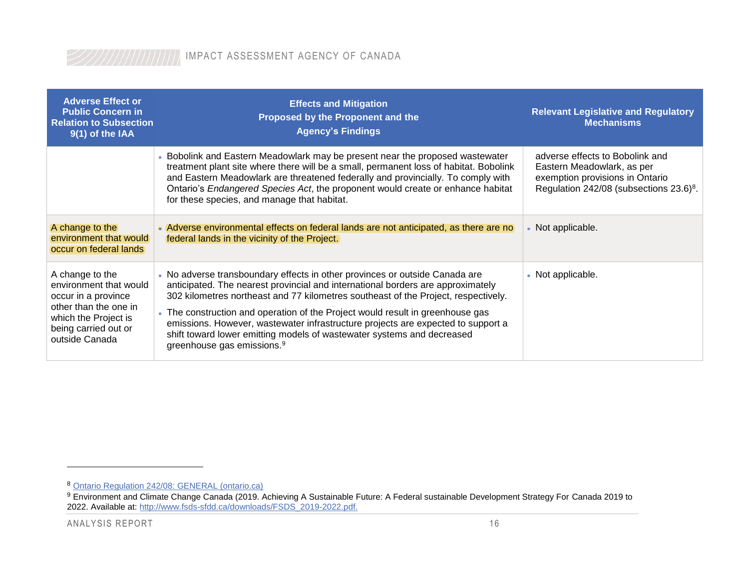

| <b>Adverse Effect or</b><br><b>Public Concern in</b><br><b>Relation to Subsection</b><br>9(1) of the IAA                                                    | <b>Effects and Mitigation</b><br>Proposed by the Proponent and the<br><b>Agency's Findings</b>                                                                                                                                                                                                                                                                                                                                                                                                                                                 | <b>Relevant Legislative and Regulatory</b><br><b>Mechanisms</b>                                                                                         |
|-------------------------------------------------------------------------------------------------------------------------------------------------------------|------------------------------------------------------------------------------------------------------------------------------------------------------------------------------------------------------------------------------------------------------------------------------------------------------------------------------------------------------------------------------------------------------------------------------------------------------------------------------------------------------------------------------------------------|---------------------------------------------------------------------------------------------------------------------------------------------------------|
|                                                                                                                                                             | • Bobolink and Eastern Meadowlark may be present near the proposed wastewater<br>treatment plant site where there will be a small, permanent loss of habitat. Bobolink<br>and Eastern Meadowlark are threatened federally and provincially. To comply with<br>Ontario's Endangered Species Act, the proponent would create or enhance habitat<br>for these species, and manage that habitat.                                                                                                                                                   | adverse effects to Bobolink and<br>Eastern Meadowlark, as per<br>exemption provisions in Ontario<br>Regulation 242/08 (subsections 23.6) <sup>8</sup> . |
| A change to the<br>environment that would<br>occur on federal lands                                                                                         | • Adverse environmental effects on federal lands are not anticipated, as there are no<br>federal lands in the vicinity of the Project.                                                                                                                                                                                                                                                                                                                                                                                                         | • Not applicable.                                                                                                                                       |
| A change to the<br>environment that would<br>occur in a province<br>other than the one in<br>which the Project is<br>being carried out or<br>outside Canada | • No adverse transboundary effects in other provinces or outside Canada are<br>anticipated. The nearest provincial and international borders are approximately<br>302 kilometres northeast and 77 kilometres southeast of the Project, respectively.<br>• The construction and operation of the Project would result in greenhouse gas<br>emissions. However, wastewater infrastructure projects are expected to support a<br>shift toward lower emitting models of wastewater systems and decreased<br>greenhouse gas emissions. <sup>9</sup> | • Not applicable.                                                                                                                                       |

<sup>8</sup> [Ontario Regulation 242/08: GENERAL \(ontario.ca\)](https://www.ontario.ca/laws/regulation/080242#BK32)

<sup>9</sup> Environment and Climate Change Canada (2019. Achieving A Sustainable Future: A Federal sustainable Development Strategy For Canada 2019 to 2022. Available at: [http://www.fsds-sfdd.ca/downloads/FSDS\\_2019-2022.pdf.](http://www.fsds-sfdd.ca/downloads/FSDS_2019-2022.pdf)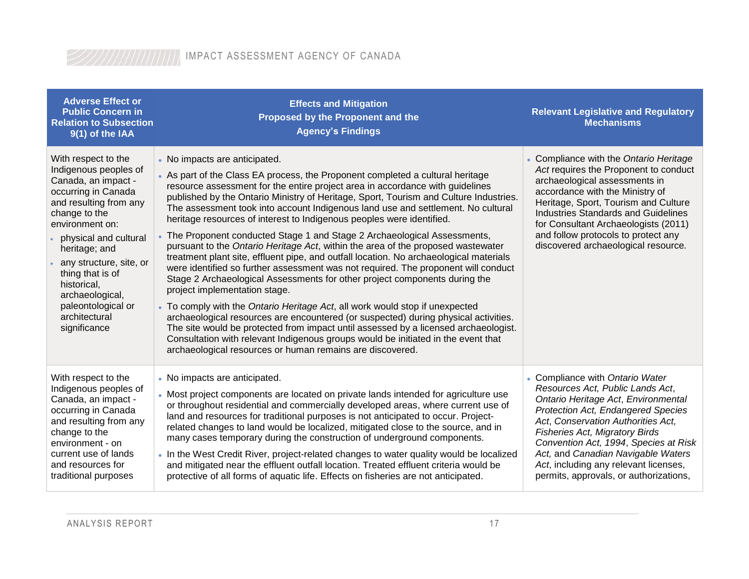

| <b>Adverse Effect or</b><br><b>Public Concern in</b><br><b>Relation to Subsection</b><br>9(1) of the IAA                                                                                                                                                                                                                                   | <b>Effects and Mitigation</b><br>Proposed by the Proponent and the<br><b>Agency's Findings</b>                                                                                                                                                                                                                                                                                                                                                                                                                                                                                                                                                                                                                                                                                                                                                                                                                                                                                                                                                                                                                                                                                                                                                                                                                                         | <b>Relevant Legislative and Regulatory</b><br><b>Mechanisms</b>                                                                                                                                                                                                                                                                                                                                   |
|--------------------------------------------------------------------------------------------------------------------------------------------------------------------------------------------------------------------------------------------------------------------------------------------------------------------------------------------|----------------------------------------------------------------------------------------------------------------------------------------------------------------------------------------------------------------------------------------------------------------------------------------------------------------------------------------------------------------------------------------------------------------------------------------------------------------------------------------------------------------------------------------------------------------------------------------------------------------------------------------------------------------------------------------------------------------------------------------------------------------------------------------------------------------------------------------------------------------------------------------------------------------------------------------------------------------------------------------------------------------------------------------------------------------------------------------------------------------------------------------------------------------------------------------------------------------------------------------------------------------------------------------------------------------------------------------|---------------------------------------------------------------------------------------------------------------------------------------------------------------------------------------------------------------------------------------------------------------------------------------------------------------------------------------------------------------------------------------------------|
| With respect to the<br>Indigenous peoples of<br>Canada, an impact -<br>occurring in Canada<br>and resulting from any<br>change to the<br>environment on:<br>physical and cultural<br>heritage; and<br>any structure, site, or<br>thing that is of<br>historical,<br>archaeological,<br>paleontological or<br>architectural<br>significance | • No impacts are anticipated.<br>• As part of the Class EA process, the Proponent completed a cultural heritage<br>resource assessment for the entire project area in accordance with guidelines<br>published by the Ontario Ministry of Heritage, Sport, Tourism and Culture Industries.<br>The assessment took into account Indigenous land use and settlement. No cultural<br>heritage resources of interest to Indigenous peoples were identified.<br>• The Proponent conducted Stage 1 and Stage 2 Archaeological Assessments,<br>pursuant to the Ontario Heritage Act, within the area of the proposed wastewater<br>treatment plant site, effluent pipe, and outfall location. No archaeological materials<br>were identified so further assessment was not required. The proponent will conduct<br>Stage 2 Archaeological Assessments for other project components during the<br>project implementation stage.<br>• To comply with the Ontario Heritage Act, all work would stop if unexpected<br>archaeological resources are encountered (or suspected) during physical activities.<br>The site would be protected from impact until assessed by a licensed archaeologist.<br>Consultation with relevant Indigenous groups would be initiated in the event that<br>archaeological resources or human remains are discovered. | • Compliance with the Ontario Heritage<br>Act requires the Proponent to conduct<br>archaeological assessments in<br>accordance with the Ministry of<br>Heritage, Sport, Tourism and Culture<br><b>Industries Standards and Guidelines</b><br>for Consultant Archaeologists (2011)<br>and follow protocols to protect any<br>discovered archaeological resource.                                   |
| With respect to the<br>Indigenous peoples of<br>Canada, an impact -<br>occurring in Canada<br>and resulting from any<br>change to the<br>environment - on<br>current use of lands<br>and resources for<br>traditional purposes                                                                                                             | • No impacts are anticipated.<br>• Most project components are located on private lands intended for agriculture use<br>or throughout residential and commercially developed areas, where current use of<br>land and resources for traditional purposes is not anticipated to occur. Project-<br>related changes to land would be localized, mitigated close to the source, and in<br>many cases temporary during the construction of underground components.<br>. In the West Credit River, project-related changes to water quality would be localized<br>and mitigated near the effluent outfall location. Treated effluent criteria would be<br>protective of all forms of aquatic life. Effects on fisheries are not anticipated.                                                                                                                                                                                                                                                                                                                                                                                                                                                                                                                                                                                                 | • Compliance with Ontario Water<br>Resources Act, Public Lands Act,<br>Ontario Heritage Act, Environmental<br>Protection Act, Endangered Species<br>Act, Conservation Authorities Act,<br><b>Fisheries Act, Migratory Birds</b><br>Convention Act, 1994, Species at Risk<br>Act, and Canadian Navigable Waters<br>Act, including any relevant licenses,<br>permits, approvals, or authorizations, |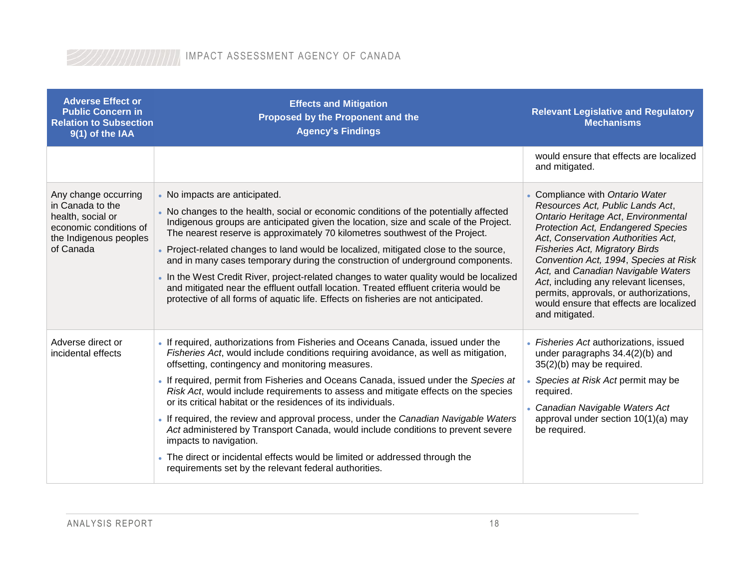#### IMPACT ASSESSMENT AGENCY OF CANADA

| <b>Adverse Effect or</b><br><b>Public Concern in</b><br><b>Relation to Subsection</b><br>9(1) of the IAA                       | <b>Effects and Mitigation</b><br>Proposed by the Proponent and the<br><b>Agency's Findings</b>                                                                                                                                                                                                                                                                                                                                                                                                                                                                                                                                                                                                                                                                                                                    | <b>Relevant Legislative and Regulatory</b><br><b>Mechanisms</b>                                                                                                                                                                                                                                                                                                                                                                                                |
|--------------------------------------------------------------------------------------------------------------------------------|-------------------------------------------------------------------------------------------------------------------------------------------------------------------------------------------------------------------------------------------------------------------------------------------------------------------------------------------------------------------------------------------------------------------------------------------------------------------------------------------------------------------------------------------------------------------------------------------------------------------------------------------------------------------------------------------------------------------------------------------------------------------------------------------------------------------|----------------------------------------------------------------------------------------------------------------------------------------------------------------------------------------------------------------------------------------------------------------------------------------------------------------------------------------------------------------------------------------------------------------------------------------------------------------|
|                                                                                                                                |                                                                                                                                                                                                                                                                                                                                                                                                                                                                                                                                                                                                                                                                                                                                                                                                                   | would ensure that effects are localized<br>and mitigated.                                                                                                                                                                                                                                                                                                                                                                                                      |
| Any change occurring<br>in Canada to the<br>health, social or<br>economic conditions of<br>the Indigenous peoples<br>of Canada | • No impacts are anticipated.<br>. No changes to the health, social or economic conditions of the potentially affected<br>Indigenous groups are anticipated given the location, size and scale of the Project.<br>The nearest reserve is approximately 70 kilometres southwest of the Project.<br>• Project-related changes to land would be localized, mitigated close to the source,<br>and in many cases temporary during the construction of underground components.<br>. In the West Credit River, project-related changes to water quality would be localized<br>and mitigated near the effluent outfall location. Treated effluent criteria would be<br>protective of all forms of aquatic life. Effects on fisheries are not anticipated.                                                                 | • Compliance with Ontario Water<br>Resources Act, Public Lands Act,<br>Ontario Heritage Act, Environmental<br>Protection Act, Endangered Species<br>Act, Conservation Authorities Act,<br><b>Fisheries Act, Migratory Birds</b><br>Convention Act, 1994, Species at Risk<br>Act, and Canadian Navigable Waters<br>Act, including any relevant licenses,<br>permits, approvals, or authorizations,<br>would ensure that effects are localized<br>and mitigated. |
| Adverse direct or<br>incidental effects                                                                                        | If required, authorizations from Fisheries and Oceans Canada, issued under the<br>Fisheries Act, would include conditions requiring avoidance, as well as mitigation,<br>offsetting, contingency and monitoring measures.<br>If required, permit from Fisheries and Oceans Canada, issued under the Species at<br>Risk Act, would include requirements to assess and mitigate effects on the species<br>or its critical habitat or the residences of its individuals.<br>If required, the review and approval process, under the Canadian Navigable Waters<br>Act administered by Transport Canada, would include conditions to prevent severe<br>impacts to navigation.<br>• The direct or incidental effects would be limited or addressed through the<br>requirements set by the relevant federal authorities. | • Fisheries Act authorizations, issued<br>under paragraphs 34.4(2)(b) and<br>35(2)(b) may be required.<br>• Species at Risk Act permit may be<br>required.<br>• Canadian Navigable Waters Act<br>approval under section 10(1)(a) may<br>be required.                                                                                                                                                                                                           |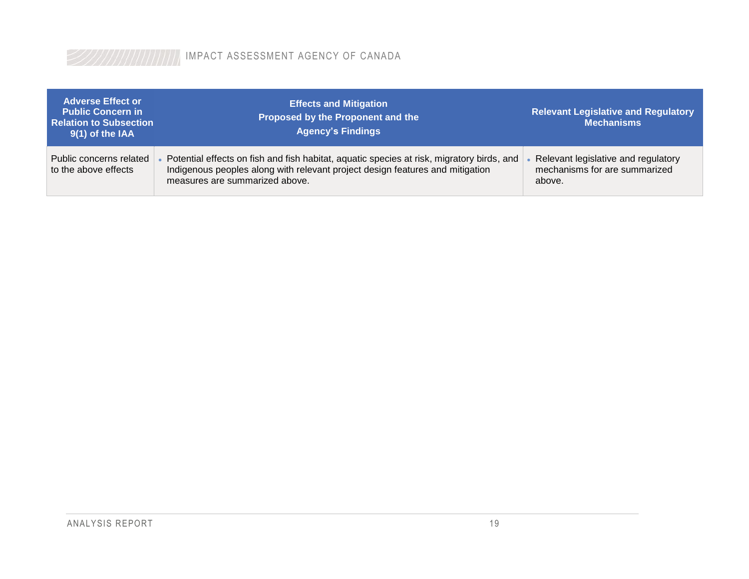

| <b>Adverse Effect or</b><br><b>Public Concern in</b><br><b>Relation to Subsection</b><br>9(1) of the IAA | <b>Effects and Mitigation</b><br>Proposed by the Proponent and the<br><b>Agency's Findings</b>                                                                                                               | <b>Relevant Legislative and Regulatory</b><br><b>Mechanisms</b>                |
|----------------------------------------------------------------------------------------------------------|--------------------------------------------------------------------------------------------------------------------------------------------------------------------------------------------------------------|--------------------------------------------------------------------------------|
| Public concerns related<br>to the above effects                                                          | Potential effects on fish and fish habitat, aquatic species at risk, migratory birds, and<br>Indigenous peoples along with relevant project design features and mitigation<br>measures are summarized above. | Relevant legislative and regulatory<br>mechanisms for are summarized<br>above. |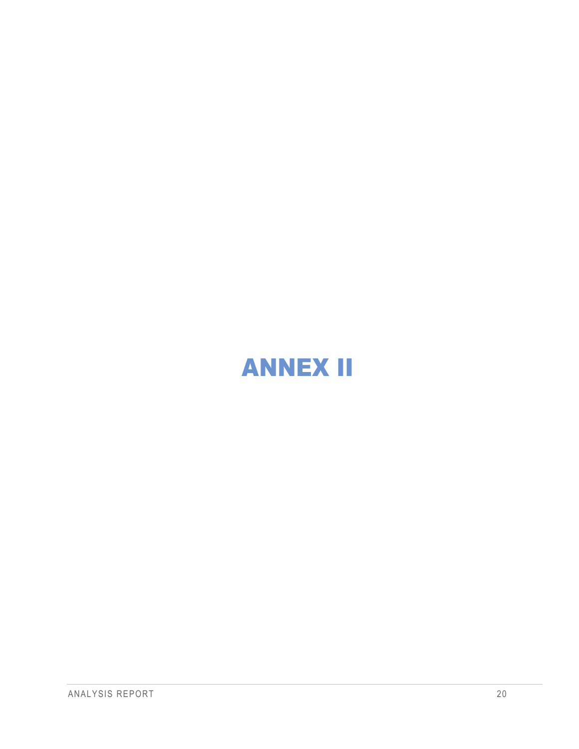# <span id="page-21-0"></span>ANNEX II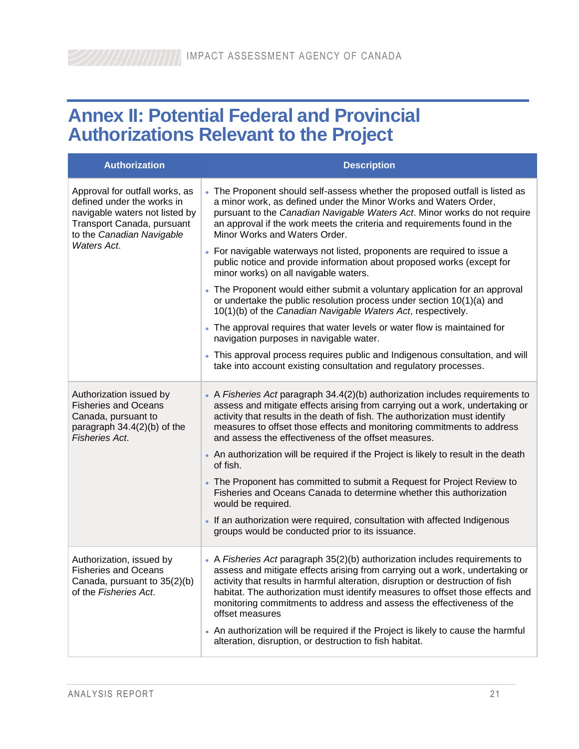#### <span id="page-22-0"></span>**Annex II: Potential Federal and Provincial Authorizations Relevant to the Project**

| <b>Authorization</b>                                                                                                                                                     | <b>Description</b>                                                                                                                                                                                                                                                                                                                                                                                                                                                                                              |
|--------------------------------------------------------------------------------------------------------------------------------------------------------------------------|-----------------------------------------------------------------------------------------------------------------------------------------------------------------------------------------------------------------------------------------------------------------------------------------------------------------------------------------------------------------------------------------------------------------------------------------------------------------------------------------------------------------|
| Approval for outfall works, as<br>defined under the works in<br>navigable waters not listed by<br>Transport Canada, pursuant<br>to the Canadian Navigable<br>Waters Act. | • The Proponent should self-assess whether the proposed outfall is listed as<br>a minor work, as defined under the Minor Works and Waters Order,<br>pursuant to the Canadian Navigable Waters Act. Minor works do not require<br>an approval if the work meets the criteria and requirements found in the<br>Minor Works and Waters Order.<br>• For navigable waterways not listed, proponents are required to issue a                                                                                          |
|                                                                                                                                                                          | public notice and provide information about proposed works (except for<br>minor works) on all navigable waters.                                                                                                                                                                                                                                                                                                                                                                                                 |
|                                                                                                                                                                          | • The Proponent would either submit a voluntary application for an approval<br>or undertake the public resolution process under section 10(1)(a) and<br>10(1)(b) of the Canadian Navigable Waters Act, respectively.                                                                                                                                                                                                                                                                                            |
|                                                                                                                                                                          | • The approval requires that water levels or water flow is maintained for<br>navigation purposes in navigable water.                                                                                                                                                                                                                                                                                                                                                                                            |
|                                                                                                                                                                          | • This approval process requires public and Indigenous consultation, and will<br>take into account existing consultation and regulatory processes.                                                                                                                                                                                                                                                                                                                                                              |
| Authorization issued by<br><b>Fisheries and Oceans</b><br>Canada, pursuant to<br>paragraph 34.4(2)(b) of the<br>Fisheries Act.                                           | • A Fisheries Act paragraph 34.4(2)(b) authorization includes requirements to<br>assess and mitigate effects arising from carrying out a work, undertaking or<br>activity that results in the death of fish. The authorization must identify<br>measures to offset those effects and monitoring commitments to address<br>and assess the effectiveness of the offset measures.                                                                                                                                  |
|                                                                                                                                                                          | • An authorization will be required if the Project is likely to result in the death<br>of fish.                                                                                                                                                                                                                                                                                                                                                                                                                 |
|                                                                                                                                                                          | • The Proponent has committed to submit a Request for Project Review to<br>Fisheries and Oceans Canada to determine whether this authorization<br>would be required.                                                                                                                                                                                                                                                                                                                                            |
|                                                                                                                                                                          | • If an authorization were required, consultation with affected Indigenous<br>groups would be conducted prior to its issuance.                                                                                                                                                                                                                                                                                                                                                                                  |
| Authorization, issued by<br><b>Fisheries and Oceans</b><br>Canada, pursuant to 35(2)(b)<br>of the Fisheries Act.                                                         | • A Fisheries Act paragraph 35(2)(b) authorization includes requirements to<br>assess and mitigate effects arising from carrying out a work, undertaking or<br>activity that results in harmful alteration, disruption or destruction of fish<br>habitat. The authorization must identify measures to offset those effects and<br>monitoring commitments to address and assess the effectiveness of the<br>offset measures<br>• An authorization will be required if the Project is likely to cause the harmful |
|                                                                                                                                                                          | alteration, disruption, or destruction to fish habitat.                                                                                                                                                                                                                                                                                                                                                                                                                                                         |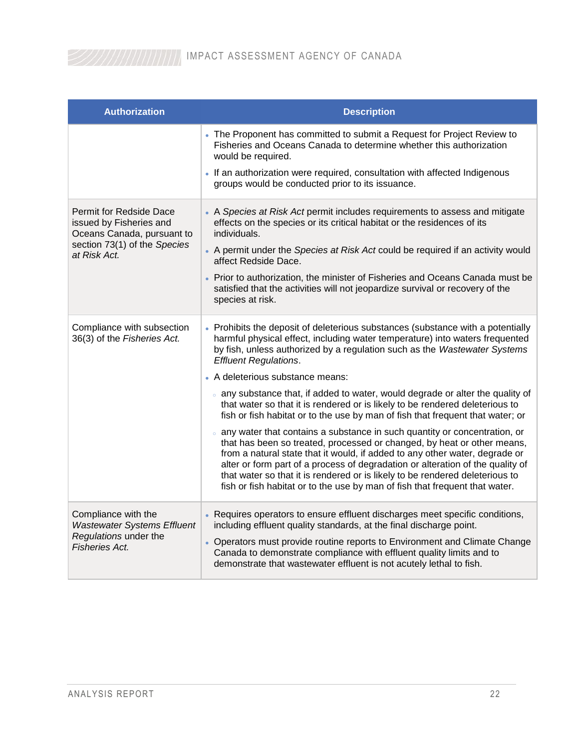| <b>Authorization</b>                                                                                                                    | <b>Description</b>                                                                                                                                                                                                                                                                                                                                                                                                                                                                     |
|-----------------------------------------------------------------------------------------------------------------------------------------|----------------------------------------------------------------------------------------------------------------------------------------------------------------------------------------------------------------------------------------------------------------------------------------------------------------------------------------------------------------------------------------------------------------------------------------------------------------------------------------|
|                                                                                                                                         | • The Proponent has committed to submit a Request for Project Review to<br>Fisheries and Oceans Canada to determine whether this authorization<br>would be required.                                                                                                                                                                                                                                                                                                                   |
|                                                                                                                                         | • If an authorization were required, consultation with affected Indigenous<br>groups would be conducted prior to its issuance.                                                                                                                                                                                                                                                                                                                                                         |
| <b>Permit for Redside Dace</b><br>issued by Fisheries and<br>Oceans Canada, pursuant to<br>section 73(1) of the Species<br>at Risk Act. | • A Species at Risk Act permit includes requirements to assess and mitigate<br>effects on the species or its critical habitat or the residences of its<br>individuals.                                                                                                                                                                                                                                                                                                                 |
|                                                                                                                                         | • A permit under the Species at Risk Act could be required if an activity would<br>affect Redside Dace.                                                                                                                                                                                                                                                                                                                                                                                |
|                                                                                                                                         | • Prior to authorization, the minister of Fisheries and Oceans Canada must be<br>satisfied that the activities will not jeopardize survival or recovery of the<br>species at risk.                                                                                                                                                                                                                                                                                                     |
| Compliance with subsection<br>36(3) of the Fisheries Act.                                                                               | • Prohibits the deposit of deleterious substances (substance with a potentially<br>harmful physical effect, including water temperature) into waters frequented<br>by fish, unless authorized by a regulation such as the Wastewater Systems<br><b>Effluent Regulations.</b>                                                                                                                                                                                                           |
|                                                                                                                                         | • A deleterious substance means:                                                                                                                                                                                                                                                                                                                                                                                                                                                       |
|                                                                                                                                         | ○ any substance that, if added to water, would degrade or alter the quality of<br>that water so that it is rendered or is likely to be rendered deleterious to<br>fish or fish habitat or to the use by man of fish that frequent that water; or                                                                                                                                                                                                                                       |
|                                                                                                                                         | ○ any water that contains a substance in such quantity or concentration, or<br>that has been so treated, processed or changed, by heat or other means,<br>from a natural state that it would, if added to any other water, degrade or<br>alter or form part of a process of degradation or alteration of the quality of<br>that water so that it is rendered or is likely to be rendered deleterious to<br>fish or fish habitat or to the use by man of fish that frequent that water. |
| Compliance with the<br><b>Wastewater Systems Effluent</b><br>Regulations under the<br><b>Fisheries Act.</b>                             | • Requires operators to ensure effluent discharges meet specific conditions,<br>including effluent quality standards, at the final discharge point.<br>• Operators must provide routine reports to Environment and Climate Change<br>Canada to demonstrate compliance with effluent quality limits and to<br>demonstrate that wastewater effluent is not acutely lethal to fish.                                                                                                       |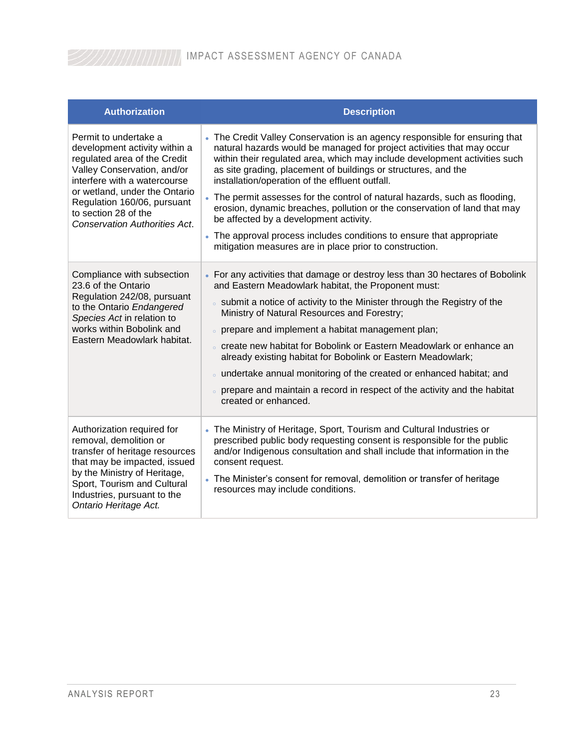| <b>Authorization</b>                                                                                                                                                                                                                                                                  | <b>Description</b>                                                                                                                                                                                                                                                                                                                                                                                                                                                                                                                                                                                                                                                                                 |
|---------------------------------------------------------------------------------------------------------------------------------------------------------------------------------------------------------------------------------------------------------------------------------------|----------------------------------------------------------------------------------------------------------------------------------------------------------------------------------------------------------------------------------------------------------------------------------------------------------------------------------------------------------------------------------------------------------------------------------------------------------------------------------------------------------------------------------------------------------------------------------------------------------------------------------------------------------------------------------------------------|
| Permit to undertake a<br>development activity within a<br>regulated area of the Credit<br>Valley Conservation, and/or<br>interfere with a watercourse<br>or wetland, under the Ontario<br>Regulation 160/06, pursuant<br>to section 28 of the<br><b>Conservation Authorities Act.</b> | • The Credit Valley Conservation is an agency responsible for ensuring that<br>natural hazards would be managed for project activities that may occur<br>within their regulated area, which may include development activities such<br>as site grading, placement of buildings or structures, and the<br>installation/operation of the effluent outfall.<br>• The permit assesses for the control of natural hazards, such as flooding,<br>erosion, dynamic breaches, pollution or the conservation of land that may<br>be affected by a development activity.<br>• The approval process includes conditions to ensure that appropriate<br>mitigation measures are in place prior to construction. |
| Compliance with subsection<br>23.6 of the Ontario<br>Regulation 242/08, pursuant<br>to the Ontario Endangered<br>Species Act in relation to<br>works within Bobolink and<br>Eastern Meadowlark habitat.                                                                               | • For any activities that damage or destroy less than 30 hectares of Bobolink<br>and Eastern Meadowlark habitat, the Proponent must:<br>○ submit a notice of activity to the Minister through the Registry of the<br>Ministry of Natural Resources and Forestry;<br>• prepare and implement a habitat management plan;<br>o create new habitat for Bobolink or Eastern Meadowlark or enhance an<br>already existing habitat for Bobolink or Eastern Meadowlark;<br>○ undertake annual monitoring of the created or enhanced habitat; and<br>• prepare and maintain a record in respect of the activity and the habitat<br>created or enhanced.                                                     |
| Authorization required for<br>removal, demolition or<br>transfer of heritage resources<br>that may be impacted, issued<br>by the Ministry of Heritage,<br>Sport, Tourism and Cultural<br>Industries, pursuant to the<br>Ontario Heritage Act.                                         | • The Ministry of Heritage, Sport, Tourism and Cultural Industries or<br>prescribed public body requesting consent is responsible for the public<br>and/or Indigenous consultation and shall include that information in the<br>consent request.<br>• The Minister's consent for removal, demolition or transfer of heritage<br>resources may include conditions.                                                                                                                                                                                                                                                                                                                                  |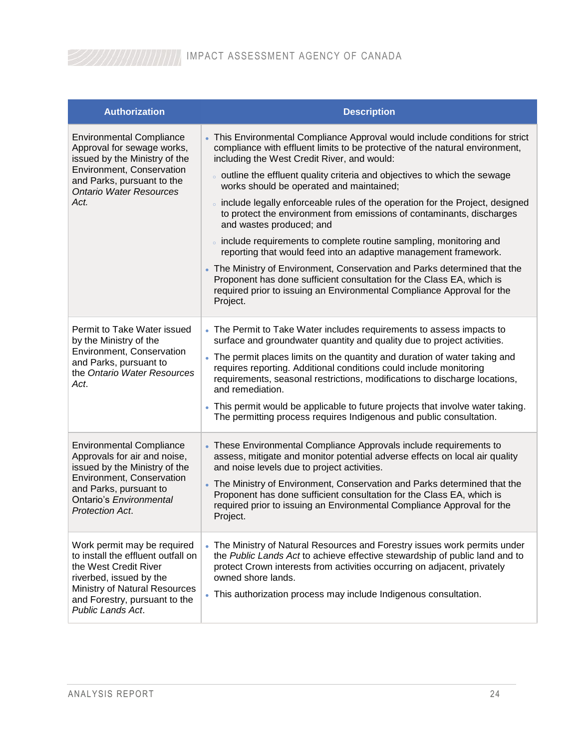| <b>Authorization</b>                                                                                                                                                                                         | <b>Description</b>                                                                                                                                                                                                                                                                                                               |
|--------------------------------------------------------------------------------------------------------------------------------------------------------------------------------------------------------------|----------------------------------------------------------------------------------------------------------------------------------------------------------------------------------------------------------------------------------------------------------------------------------------------------------------------------------|
| <b>Environmental Compliance</b><br>Approval for sewage works,<br>issued by the Ministry of the<br>Environment, Conservation<br>and Parks, pursuant to the<br><b>Ontario Water Resources</b><br>Act.          | • This Environmental Compliance Approval would include conditions for strict<br>compliance with effluent limits to be protective of the natural environment,<br>including the West Credit River, and would:                                                                                                                      |
|                                                                                                                                                                                                              | ○ outline the effluent quality criteria and objectives to which the sewage<br>works should be operated and maintained;                                                                                                                                                                                                           |
|                                                                                                                                                                                                              | o include legally enforceable rules of the operation for the Project, designed<br>to protect the environment from emissions of contaminants, discharges<br>and wastes produced; and                                                                                                                                              |
|                                                                                                                                                                                                              | ○ include requirements to complete routine sampling, monitoring and<br>reporting that would feed into an adaptive management framework.                                                                                                                                                                                          |
|                                                                                                                                                                                                              | • The Ministry of Environment, Conservation and Parks determined that the<br>Proponent has done sufficient consultation for the Class EA, which is<br>required prior to issuing an Environmental Compliance Approval for the<br>Project.                                                                                         |
| Permit to Take Water issued<br>by the Ministry of the<br>Environment, Conservation<br>and Parks, pursuant to<br>the Ontario Water Resources<br>Act.                                                          | • The Permit to Take Water includes requirements to assess impacts to<br>surface and groundwater quantity and quality due to project activities.                                                                                                                                                                                 |
|                                                                                                                                                                                                              | • The permit places limits on the quantity and duration of water taking and<br>requires reporting. Additional conditions could include monitoring<br>requirements, seasonal restrictions, modifications to discharge locations,<br>and remediation.                                                                              |
|                                                                                                                                                                                                              | • This permit would be applicable to future projects that involve water taking.<br>The permitting process requires Indigenous and public consultation.                                                                                                                                                                           |
| <b>Environmental Compliance</b><br>Approvals for air and noise,<br>issued by the Ministry of the<br>Environment, Conservation<br>and Parks, pursuant to<br>Ontario's Environmental<br><b>Protection Act.</b> | • These Environmental Compliance Approvals include requirements to<br>assess, mitigate and monitor potential adverse effects on local air quality<br>and noise levels due to project activities.                                                                                                                                 |
|                                                                                                                                                                                                              | • The Ministry of Environment, Conservation and Parks determined that the<br>Proponent has done sufficient consultation for the Class EA, which is<br>required prior to issuing an Environmental Compliance Approval for the<br>Project.                                                                                         |
| Work permit may be required<br>to install the effluent outfall on<br>the West Credit River<br>riverbed, issued by the<br>Ministry of Natural Resources<br>and Forestry, pursuant to the<br>Public Lands Act. | • The Ministry of Natural Resources and Forestry issues work permits under<br>the Public Lands Act to achieve effective stewardship of public land and to<br>protect Crown interests from activities occurring on adjacent, privately<br>owned shore lands.<br>• This authorization process may include Indigenous consultation. |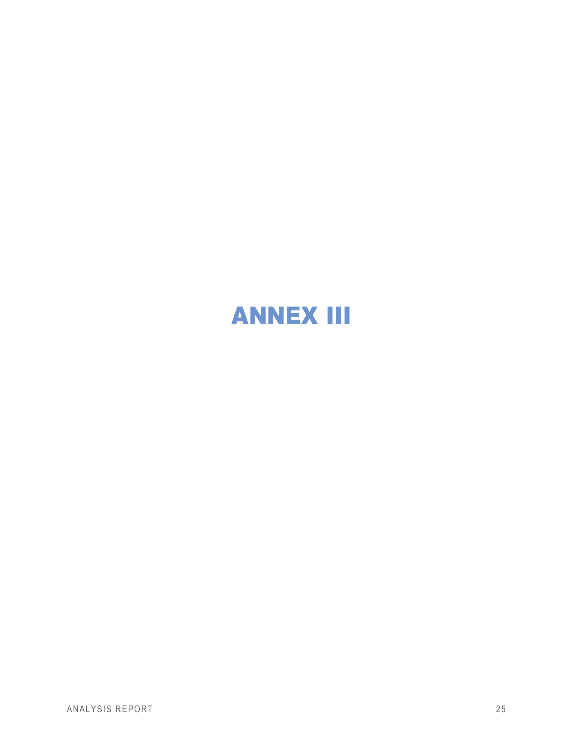# <span id="page-26-0"></span>ANNEX III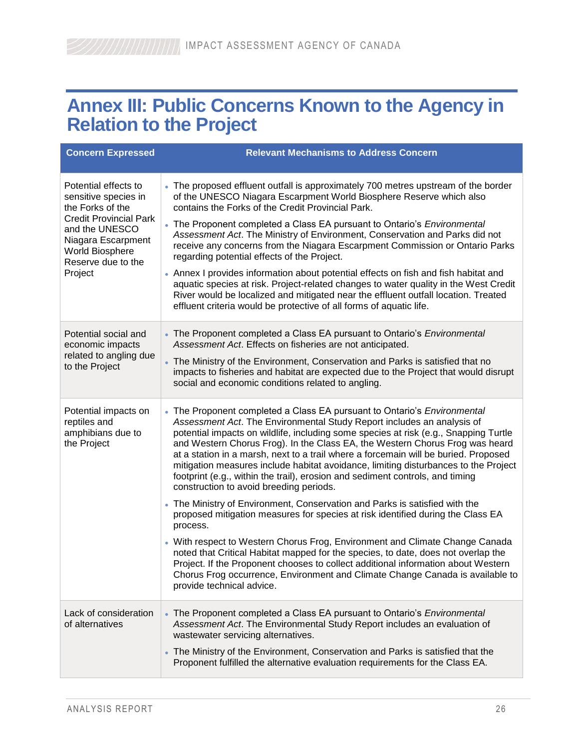#### <span id="page-27-0"></span>**Annex III: Public Concerns Known to the Agency in Relation to the Project**

| <b>Concern Expressed</b>                                                                                                                                                                             | <b>Relevant Mechanisms to Address Concern</b>                                                                                                                                                                                                                                                                                                                                                                                                                                                                                                                                                                                        |
|------------------------------------------------------------------------------------------------------------------------------------------------------------------------------------------------------|--------------------------------------------------------------------------------------------------------------------------------------------------------------------------------------------------------------------------------------------------------------------------------------------------------------------------------------------------------------------------------------------------------------------------------------------------------------------------------------------------------------------------------------------------------------------------------------------------------------------------------------|
| Potential effects to<br>sensitive species in<br>the Forks of the<br><b>Credit Provincial Park</b><br>and the UNESCO<br>Niagara Escarpment<br><b>World Biosphere</b><br>Reserve due to the<br>Project | • The proposed effluent outfall is approximately 700 metres upstream of the border<br>of the UNESCO Niagara Escarpment World Biosphere Reserve which also<br>contains the Forks of the Credit Provincial Park.                                                                                                                                                                                                                                                                                                                                                                                                                       |
|                                                                                                                                                                                                      | • The Proponent completed a Class EA pursuant to Ontario's Environmental<br>Assessment Act. The Ministry of Environment, Conservation and Parks did not<br>receive any concerns from the Niagara Escarpment Commission or Ontario Parks<br>regarding potential effects of the Project.                                                                                                                                                                                                                                                                                                                                               |
|                                                                                                                                                                                                      | • Annex I provides information about potential effects on fish and fish habitat and<br>aquatic species at risk. Project-related changes to water quality in the West Credit<br>River would be localized and mitigated near the effluent outfall location. Treated<br>effluent criteria would be protective of all forms of aquatic life.                                                                                                                                                                                                                                                                                             |
| Potential social and<br>economic impacts<br>related to angling due<br>to the Project                                                                                                                 | • The Proponent completed a Class EA pursuant to Ontario's Environmental<br>Assessment Act. Effects on fisheries are not anticipated.                                                                                                                                                                                                                                                                                                                                                                                                                                                                                                |
|                                                                                                                                                                                                      | • The Ministry of the Environment, Conservation and Parks is satisfied that no<br>impacts to fisheries and habitat are expected due to the Project that would disrupt<br>social and economic conditions related to angling.                                                                                                                                                                                                                                                                                                                                                                                                          |
| Potential impacts on<br>reptiles and<br>amphibians due to<br>the Project                                                                                                                             | • The Proponent completed a Class EA pursuant to Ontario's Environmental<br>Assessment Act. The Environmental Study Report includes an analysis of<br>potential impacts on wildlife, including some species at risk (e.g., Snapping Turtle<br>and Western Chorus Frog). In the Class EA, the Western Chorus Frog was heard<br>at a station in a marsh, next to a trail where a forcemain will be buried. Proposed<br>mitigation measures include habitat avoidance, limiting disturbances to the Project<br>footprint (e.g., within the trail), erosion and sediment controls, and timing<br>construction to avoid breeding periods. |
|                                                                                                                                                                                                      | • The Ministry of Environment, Conservation and Parks is satisfied with the<br>proposed mitigation measures for species at risk identified during the Class EA<br>process.                                                                                                                                                                                                                                                                                                                                                                                                                                                           |
|                                                                                                                                                                                                      | . With respect to Western Chorus Frog, Environment and Climate Change Canada<br>noted that Critical Habitat mapped for the species, to date, does not overlap the<br>Project. If the Proponent chooses to collect additional information about Western<br>Chorus Frog occurrence, Environment and Climate Change Canada is available to<br>provide technical advice.                                                                                                                                                                                                                                                                 |
| Lack of consideration<br>of alternatives                                                                                                                                                             | • The Proponent completed a Class EA pursuant to Ontario's Environmental<br>Assessment Act. The Environmental Study Report includes an evaluation of<br>wastewater servicing alternatives.                                                                                                                                                                                                                                                                                                                                                                                                                                           |
|                                                                                                                                                                                                      | • The Ministry of the Environment, Conservation and Parks is satisfied that the<br>Proponent fulfilled the alternative evaluation requirements for the Class EA.                                                                                                                                                                                                                                                                                                                                                                                                                                                                     |